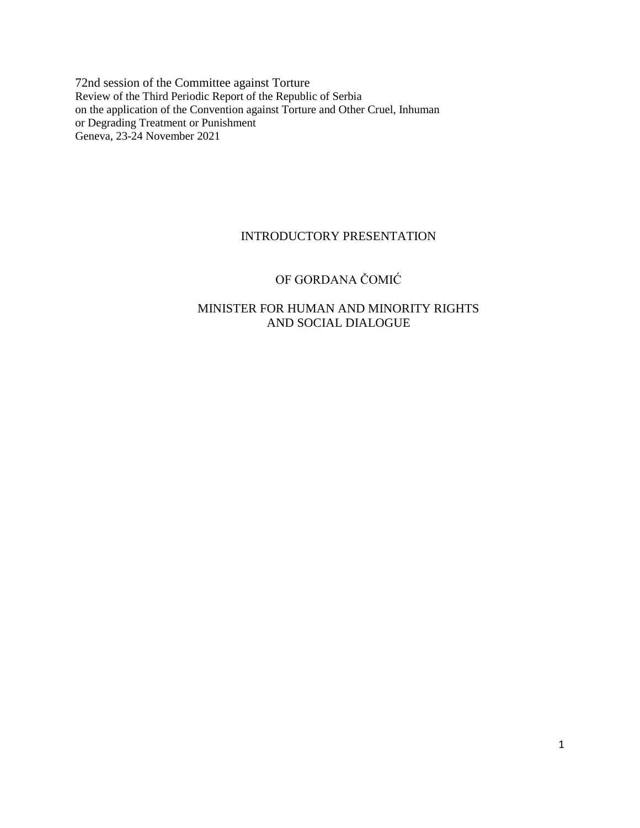72nd session of the Committee against Torture Review of the Third Periodic Report of the Republic of Serbia on the application of the Convention against Torture and Other Cruel, Inhuman or Degrading Treatment or Punishment Geneva, 23-24 November 2021

# INTRODUCTORY PRESENTATION

# OF GORDANA ČOMIĆ

# MINISTER FOR HUMAN AND MINORITY RIGHTS AND SOCIAL DIALOGUE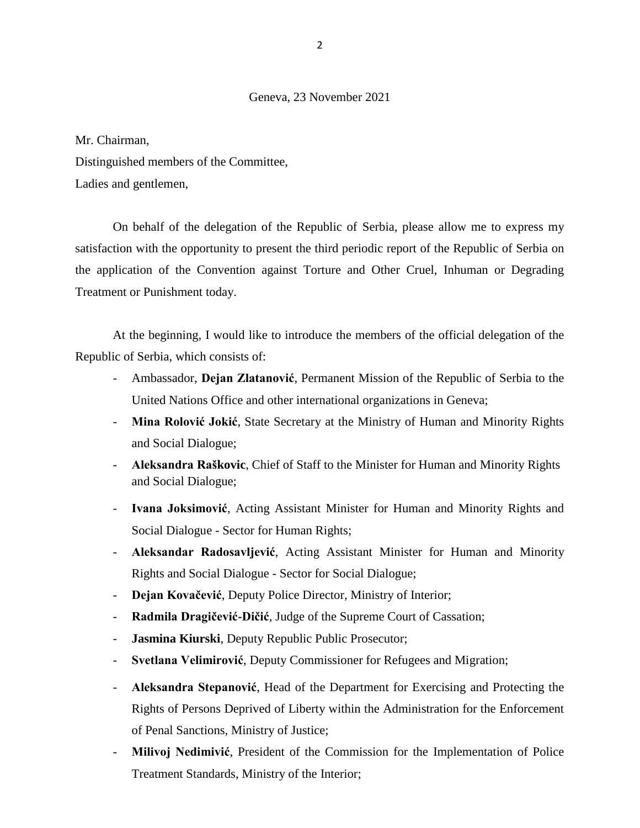## Geneva, 23 November 2021

Mr. Chairman,

Distinguished members of the Committee, Ladies and gentlemen,

On behalf of the delegation of the Republic of Serbia, please allow me to express my satisfaction with the opportunity to present the third periodic report of the Republic of Serbia on the application of the Convention against Torture and Other Cruel, Inhuman or Degrading Treatment or Punishment today.

At the beginning, I would like to introduce the members of the official delegation of the Republic of Serbia, which consists of:

- Ambassador, **Dejan Zlatanović**, Permanent Mission of the Republic of Serbia to the United Nations Office and other international organizations in Geneva;
- **Mina Rolović Jokić**, State Secretary at the Ministry of Human and Minority Rights and Social Dialogue;
- **Aleksandra Raškovic**, Chief of Staff to the Minister for Human and Minority Rights and Social Dialogue;
- **Ivana Joksimović**, Acting Assistant Minister for Human and Minority Rights and Social Dialogue - Sector for Human Rights;
- **Aleksandar Radosavljević**, Acting Assistant Minister for Human and Minority Rights and Social Dialogue - Sector for Social Dialogue;
- **Dejan Kovačević**, Deputy Police Director, Ministry of Interior;
- **Radmila Dragičević-Dičić**, Judge of the Supreme Court of Cassation;
- Jasmina Kiurski, Deputy Republic Public Prosecutor;
- **Svetlana Velimirović**, Deputy Commissioner for Refugees and Migration;
- **Aleksandra Stepanović**, Head of the Department for Exercising and Protecting the Rights of Persons Deprived of Liberty within the Administration for the Enforcement of Penal Sanctions, Ministry of Justice;
- **Milivoj Nedimivić**, President of the Commission for the Implementation of Police Treatment Standards, Ministry of the Interior;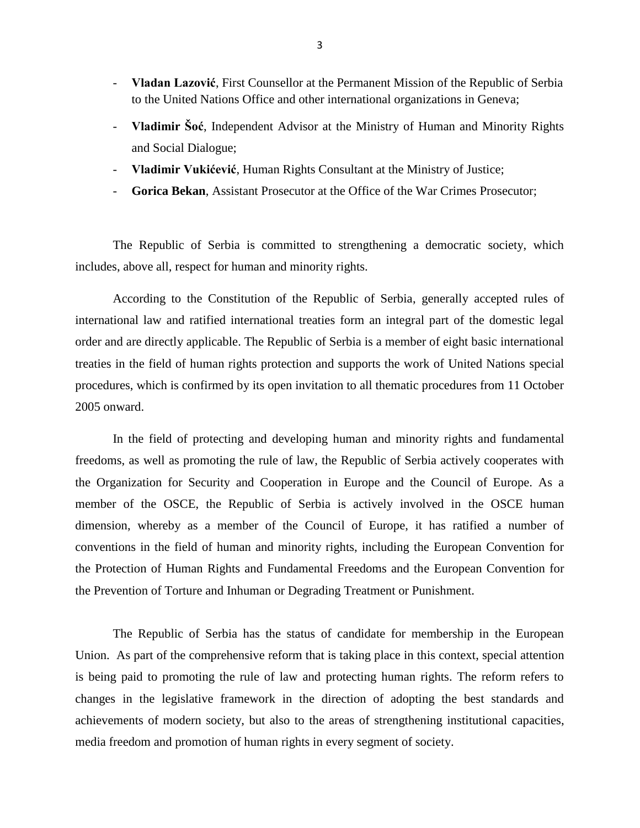- **Vladan Lazović**, First Counsellor at the Permanent Mission of the Republic of Serbia to the United Nations Office and other international organizations in Geneva;
- **Vladimir Šoć**, Independent Advisor at the Ministry of Human and Minority Rights and Social Dialogue;
- **Vladimir Vukićević**, Human Rights Consultant at the Ministry of Justice;
- **Gorica Bekan.** Assistant Prosecutor at the Office of the War Crimes Prosecutor:

The Republic of Serbia is committed to strengthening a democratic society, which includes, above all, respect for human and minority rights.

According to the Constitution of the Republic of Serbia, generally accepted rules of international law and ratified international treaties form an integral part of the domestic legal order and are directly applicable. The Republic of Serbia is a member of eight basic international treaties in the field of human rights protection and supports the work of United Nations special procedures, which is confirmed by its open invitation to all thematic procedures from 11 October 2005 onward.

In the field of protecting and developing human and minority rights and fundamental freedoms, as well as promoting the rule of law, the Republic of Serbia actively cooperates with the Organization for Security and Cooperation in Europe and the Council of Europe. As a member of the OSCE, the Republic of Serbia is actively involved in the OSCE human dimension, whereby as a member of the Council of Europe, it has ratified a number of conventions in the field of human and minority rights, including the European Convention for the Protection of Human Rights and Fundamental Freedoms and the European Convention for the Prevention of Torture and Inhuman or Degrading Treatment or Punishment.

The Republic of Serbia has the status of candidate for membership in the European Union. As part of the comprehensive reform that is taking place in this context, special attention is being paid to promoting the rule of law and protecting human rights. The reform refers to changes in the legislative framework in the direction of adopting the best standards and achievements of modern society, but also to the areas of strengthening institutional capacities, media freedom and promotion of human rights in every segment of society.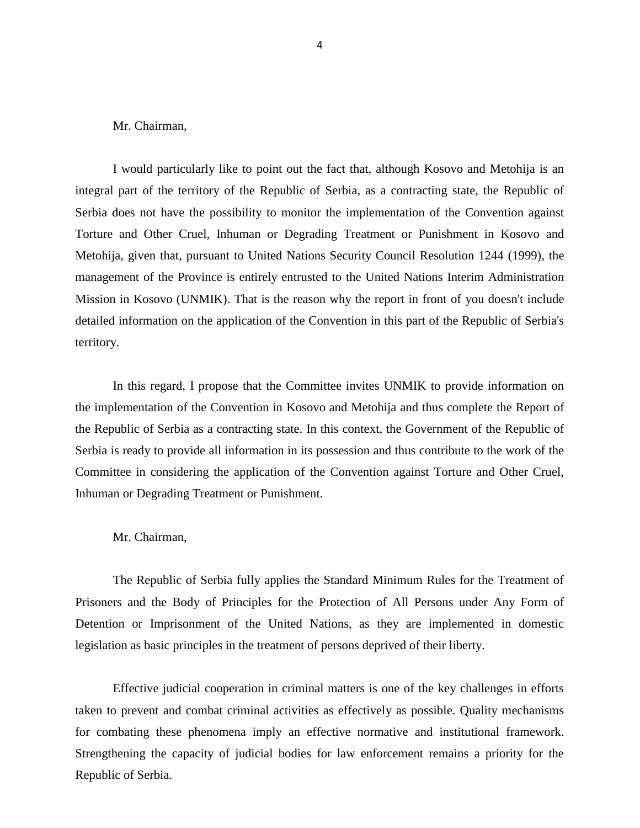Mr. Chairman,

I would particularly like to point out the fact that, although Kosovo and Metohija is an integral part of the territory of the Republic of Serbia, as a contracting state, the Republic of Serbia does not have the possibility to monitor the implementation of the Convention against Torture and Other Cruel, Inhuman or Degrading Treatment or Punishment in Kosovo and Metohija, given that, pursuant to United Nations Security Council Resolution 1244 (1999), the management of the Province is entirely entrusted to the United Nations Interim Administration Mission in Kosovo (UNMIK). That is the reason why the report in front of you doesn't include detailed information on the application of the Convention in this part of the Republic of Serbia's territory.

In this regard, I propose that the Committee invites UNMIK to provide information on the implementation of the Convention in Kosovo and Metohija and thus complete the Report of the Republic of Serbia as a contracting state. In this context, the Government of the Republic of Serbia is ready to provide all information in its possession and thus contribute to the work of the Committee in considering the application of the Convention against Torture and Other Cruel, Inhuman or Degrading Treatment or Punishment.

#### Mr. Chairman,

The Republic of Serbia fully applies the Standard Minimum Rules for the Treatment of Prisoners and the Body of Principles for the Protection of All Persons under Any Form of Detention or Imprisonment of the United Nations, as they are implemented in domestic legislation as basic principles in the treatment of persons deprived of their liberty.

Effective judicial cooperation in criminal matters is one of the key challenges in efforts taken to prevent and combat criminal activities as effectively as possible. Quality mechanisms for combating these phenomena imply an effective normative and institutional framework. Strengthening the capacity of judicial bodies for law enforcement remains a priority for the Republic of Serbia.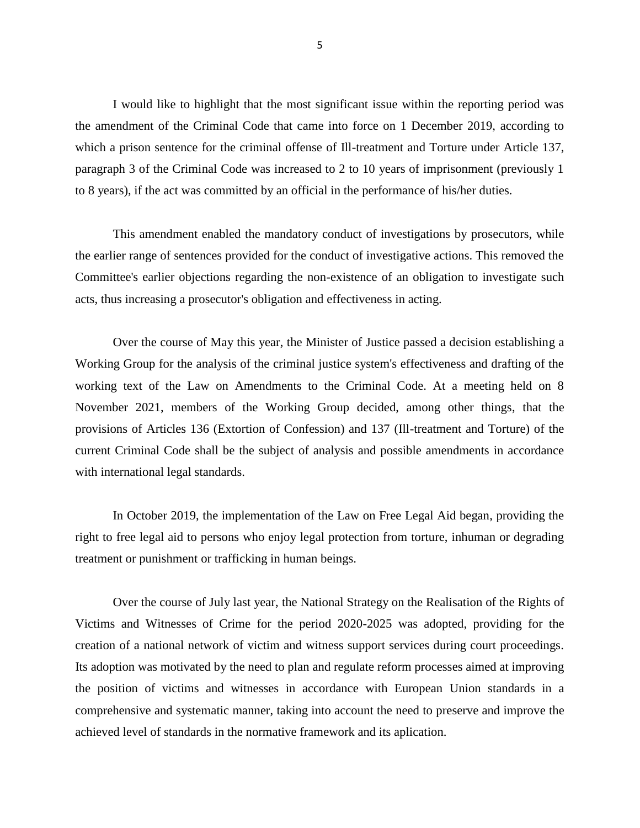I would like to highlight that the most significant issue within the reporting period was the amendment of the Criminal Code that came into force on 1 December 2019, according to which a prison sentence for the criminal offense of Ill-treatment and Torture under Article 137, paragraph 3 of the Criminal Code was increased to 2 to 10 years of imprisonment (previously 1 to 8 years), if the act was committed by an official in the performance of his/her duties.

This amendment enabled the mandatory conduct of investigations by prosecutors, while the earlier range of sentences provided for the conduct of investigative actions. This removed the Committee's earlier objections regarding the non-existence of an obligation to investigate such acts, thus increasing a prosecutor's obligation and effectiveness in acting.

Over the course of May this year, the Minister of Justice passed a decision establishing a Working Group for the analysis of the criminal justice system's effectiveness and drafting of the working text of the Law on Amendments to the Criminal Code. At a meeting held on 8 November 2021, members of the Working Group decided, among other things, that the provisions of Articles 136 (Extortion of Confession) and 137 (Ill-treatment and Torture) of the current Criminal Code shall be the subject of analysis and possible amendments in accordance with international legal standards.

In October 2019, the implementation of the Law on Free Legal Aid began, providing the right to free legal aid to persons who enjoy legal protection from torture, inhuman or degrading treatment or punishment or trafficking in human beings.

Over the course of July last year, the National Strategy on the Realisation of the Rights of Victims and Witnesses of Crime for the period 2020-2025 was adopted, providing for the creation of a national network of victim and witness support services during court proceedings. Its adoption was motivated by the need to plan and regulate reform processes aimed at improving the position of victims and witnesses in accordance with European Union standards in a comprehensive and systematic manner, taking into account the need to preserve and improve the achieved level of standards in the normative framework and its aplication.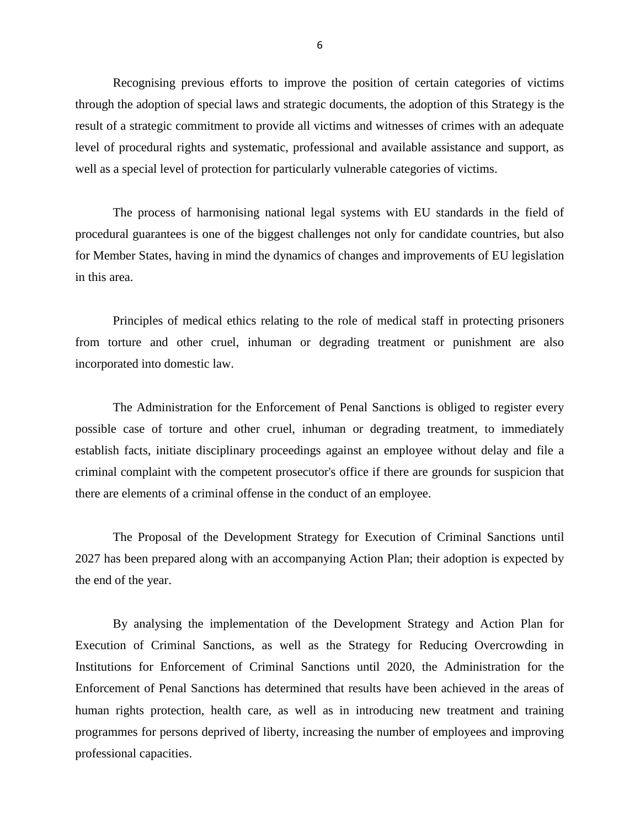Recognising previous efforts to improve the position of certain categories of victims through the adoption of special laws and strategic documents, the adoption of this Strategy is the result of a strategic commitment to provide all victims and witnesses of crimes with an adequate level of procedural rights and systematic, professional and available assistance and support, as well as a special level of protection for particularly vulnerable categories of victims.

The process of harmonising national legal systems with EU standards in the field of procedural guarantees is one of the biggest challenges not only for candidate countries, but also for Member States, having in mind the dynamics of changes and improvements of EU legislation in this area.

Principles of medical ethics relating to the role of medical staff in protecting prisoners from torture and other cruel, inhuman or degrading treatment or punishment are also incorporated into domestic law.

The Administration for the Enforcement of Penal Sanctions is obliged to register every possible case of torture and other cruel, inhuman or degrading treatment, to immediately establish facts, initiate disciplinary proceedings against an employee without delay and file a criminal complaint with the competent prosecutor's office if there are grounds for suspicion that there are elements of a criminal offense in the conduct of an employee.

The Proposal of the Development Strategy for Execution of Criminal Sanctions until 2027 has been prepared along with an accompanying Action Plan; their adoption is expected by the end of the year.

By analysing the implementation of the Development Strategy and Action Plan for Execution of Criminal Sanctions, as well as the Strategy for Reducing Overcrowding in Institutions for Enforcement of Criminal Sanctions until 2020, the Administration for the Enforcement of Penal Sanctions has determined that results have been achieved in the areas of human rights protection, health care, as well as in introducing new treatment and training programmes for persons deprived of liberty, increasing the number of employees and improving professional capacities.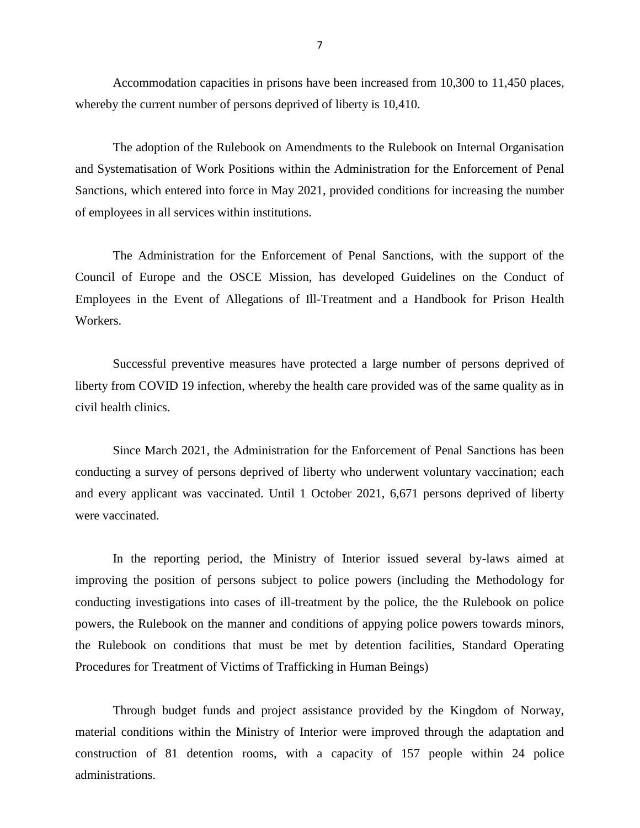Accommodation capacities in prisons have been increased from 10,300 to 11,450 places, whereby the current number of persons deprived of liberty is 10,410.

The adoption of the Rulebook on Amendments to the Rulebook on Internal Organisation and Systematisation of Work Positions within the Administration for the Enforcement of Penal Sanctions, which entered into force in May 2021, provided conditions for increasing the number of employees in all services within institutions.

The Administration for the Enforcement of Penal Sanctions, with the support of the Council of Europe and the OSCE Mission, has developed Guidelines on the Conduct of Employees in the Event of Allegations of Ill-Treatment and a Handbook for Prison Health Workers.

Successful preventive measures have protected a large number of persons deprived of liberty from COVID 19 infection, whereby the health care provided was of the same quality as in civil health clinics.

Since March 2021, the Administration for the Enforcement of Penal Sanctions has been conducting a survey of persons deprived of liberty who underwent voluntary vaccination; each and every applicant was vaccinated. Until 1 October 2021, 6,671 persons deprived of liberty were vaccinated.

In the reporting period, the Ministry of Interior issued several by-laws aimed at improving the position of persons subject to police powers (including the Methodology for conducting investigations into cases of ill-treatment by the police, the the Rulebook on police powers, the Rulebook on the manner and conditions of appying police powers towards minors, the Rulebook on conditions that must be met by detention facilities, Standard Operating Procedures for Treatment of Victims of Trafficking in Human Beings)

Through budget funds and project assistance provided by the Kingdom of Norway, material conditions within the Ministry of Interior were improved through the adaptation and construction of 81 detention rooms, with a capacity of 157 people within 24 police administrations.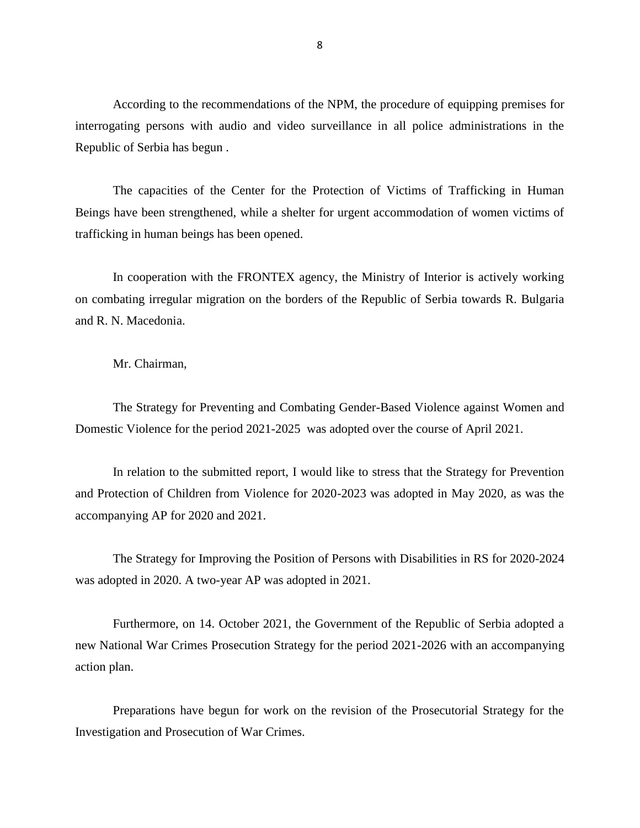According to the recommendations of the NPM, the procedure of equipping premises for interrogating persons with audio and video surveillance in all police administrations in the Republic of Serbia has begun .

The capacities of the Center for the Protection of Victims of Trafficking in Human Beings have been strengthened, while a shelter for urgent accommodation of women victims of trafficking in human beings has been opened.

In cooperation with the FRONTEX agency, the Ministry of Interior is actively working on combating irregular migration on the borders of the Republic of Serbia towards R. Bulgaria and R. N. Macedonia.

Mr. Chairman,

The Strategy for Preventing and Combating Gender-Based Violence against Women and Domestic Violence for the period 2021-2025 was adopted over the course of April 2021.

In relation to the submitted report, I would like to stress that the Strategy for Prevention and Protection of Children from Violence for 2020-2023 was adopted in May 2020, as was the accompanying AP for 2020 and 2021.

The Strategy for Improving the Position of Persons with Disabilities in RS for 2020-2024 was adopted in 2020. A two-year AP was adopted in 2021.

Furthermore, on 14. October 2021, the Government of the Republic of Serbia adopted a new National War Crimes Prosecution Strategy for the period 2021-2026 with an accompanying action plan.

Preparations have begun for work on the revision of the Prosecutorial Strategy for the Investigation and Prosecution of War Crimes.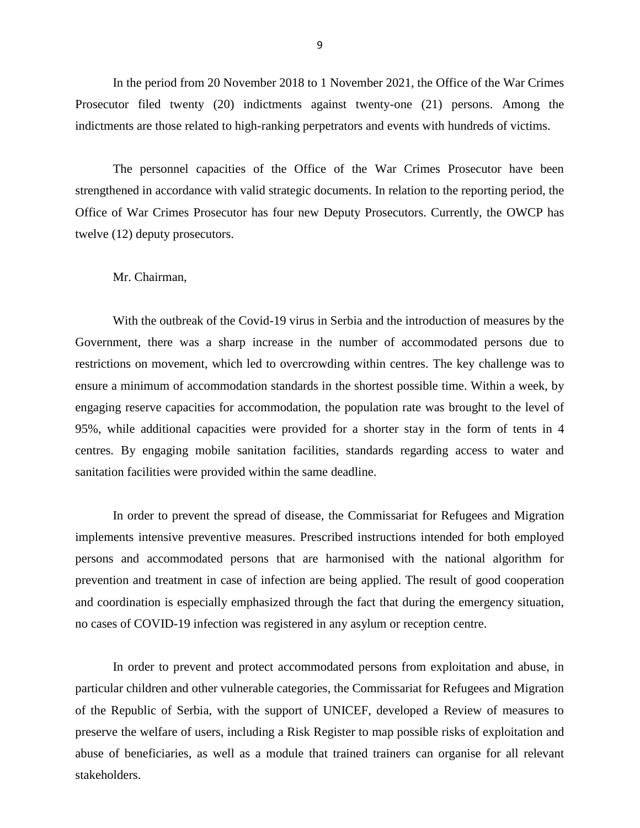In the period from 20 November 2018 to 1 November 2021, the Office of the War Crimes Prosecutor filed twenty (20) indictments against twenty-one (21) persons. Among the indictments are those related to high-ranking perpetrators and events with hundreds of victims.

The personnel capacities of the Office of the War Crimes Prosecutor have been strengthened in accordance with valid strategic documents. In relation to the reporting period, the Office of War Crimes Prosecutor has four new Deputy Prosecutors. Currently, the OWCP has twelve (12) deputy prosecutors.

### Mr. Chairman,

With the outbreak of the Covid-19 virus in Serbia and the introduction of measures by the Government, there was a sharp increase in the number of accommodated persons due to restrictions on movement, which led to overcrowding within centres. The key challenge was to ensure a minimum of accommodation standards in the shortest possible time. Within a week, by engaging reserve capacities for accommodation, the population rate was brought to the level of 95%, while additional capacities were provided for a shorter stay in the form of tents in 4 centres. By engaging mobile sanitation facilities, standards regarding access to water and sanitation facilities were provided within the same deadline.

In order to prevent the spread of disease, the Commissariat for Refugees and Migration implements intensive preventive measures. Prescribed instructions intended for both employed persons and accommodated persons that are harmonised with the national algorithm for prevention and treatment in case of infection are being applied. The result of good cooperation and coordination is especially emphasized through the fact that during the emergency situation, no cases of COVID-19 infection was registered in any asylum or reception centre.

In order to prevent and protect accommodated persons from exploitation and abuse, in particular children and other vulnerable categories, the Commissariat for Refugees and Migration of the Republic of Serbia, with the support of UNICEF, developed a Review of measures to preserve the welfare of users, including a Risk Register to map possible risks of exploitation and abuse of beneficiaries, as well as a module that trained trainers can organise for all relevant stakeholders.